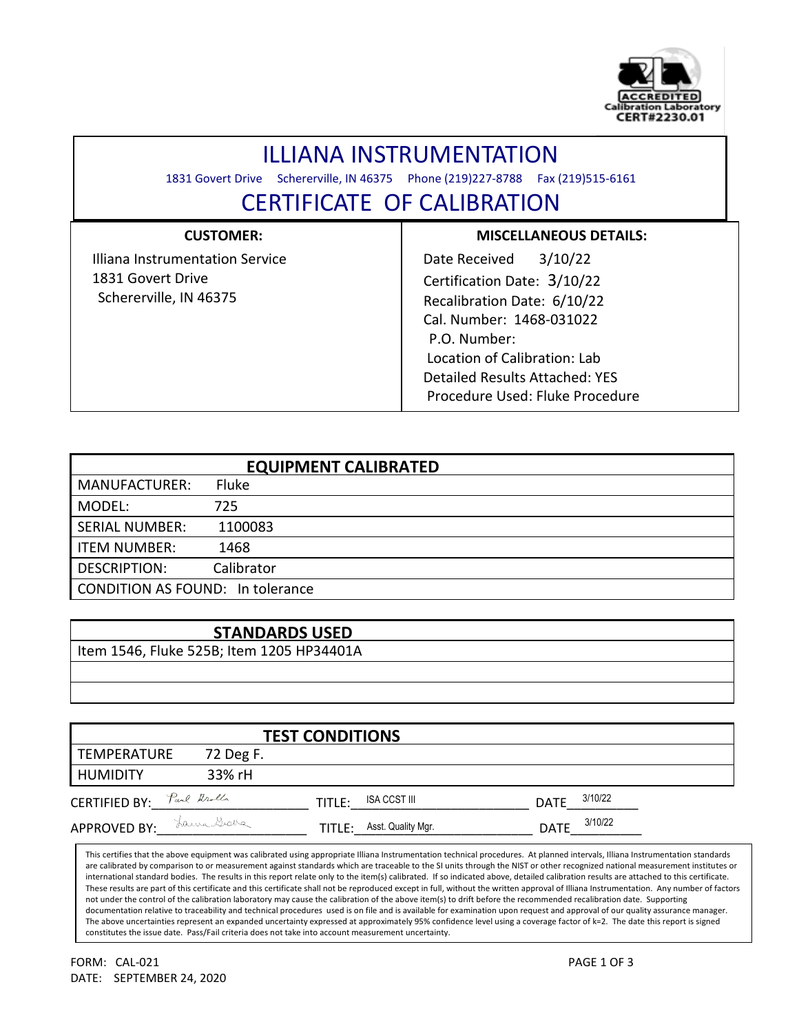

# ILLIANA INSTRUMENTATION

1831 Govert Drive Schererville, IN 46375 Phone (219)227-8788 Fax (219)515-6161

l

## CERTIFICATE OF CALIBRATION

## **CUSTOMER:**

 Illiana Instrumentation Service 1831 Govert Drive Schererville, IN 46375

### **MISCELLANEOUS DETAILS:**

 Date Received 3/10/22 Certification Date: 3/10/22 Recalibration Date: 6/10/22 Cal. Number: 1468-031022 P.O. Number: Location of Calibration: Lab Detailed Results Attached: YES Procedure Used: Fluke Procedure

| <b>EQUIPMENT CALIBRATED</b>             |              |  |  |  |
|-----------------------------------------|--------------|--|--|--|
| <b>MANUFACTURER:</b>                    | <b>Fluke</b> |  |  |  |
| MODEL:                                  | 725          |  |  |  |
| <b>SERIAL NUMBER:</b>                   | 1100083      |  |  |  |
| <b>ITEM NUMBER:</b>                     | 1468         |  |  |  |
| <b>DESCRIPTION:</b>                     | Calibrator   |  |  |  |
| <b>CONDITION AS FOUND: In tolerance</b> |              |  |  |  |

### **STANDARDS USED**

Item 1546, Fluke 525B; Item 1205 HP34401A

|                           | <b>TEST CONDITIONS</b> |        |                    |             |         |  |
|---------------------------|------------------------|--------|--------------------|-------------|---------|--|
| TEMPERATURE               | 72 Deg F.              |        |                    |             |         |  |
| HUMIDITY                  | 33% rH                 |        |                    |             |         |  |
| CERTIFIED BY: Paul Arolla |                        | TITLE: | ISA CCST III       | <b>DATE</b> | 3/10/22 |  |
| <b>APPROVED BY:</b>       | Laura Graba            | TITLE: | Asst. Quality Mgr. | <b>DATE</b> | 3/10/22 |  |

This certifies that the above equipment was calibrated using appropriate Illiana Instrumentation technical procedures. At planned intervals, Illiana Instrumentation standards are calibrated by comparison to or measurement against standards which are traceable to the SI units through the NIST or other recognized national measurement institutes or international standard bodies. The results in this report relate only to the item(s) calibrated. If so indicated above, detailed calibration results are attached to this certificate. These results are part of this certificate and this certificate shall not be reproduced except in full, without the written approval of Illiana Instrumentation. Any number of factors not under the control of the calibration laboratory may cause the calibration of the above item(s) to drift before the recommended recalibration date. Supporting documentation relative to traceability and technical procedures used is on file and is available for examination upon request and approval of our quality assurance manager. The above uncertainties represent an expanded uncertainty expressed at approximately 95% confidence level using a coverage factor of k=2. The date this report is signed constitutes the issue date. Pass/Fail criteria does not take into account measurement uncertainty.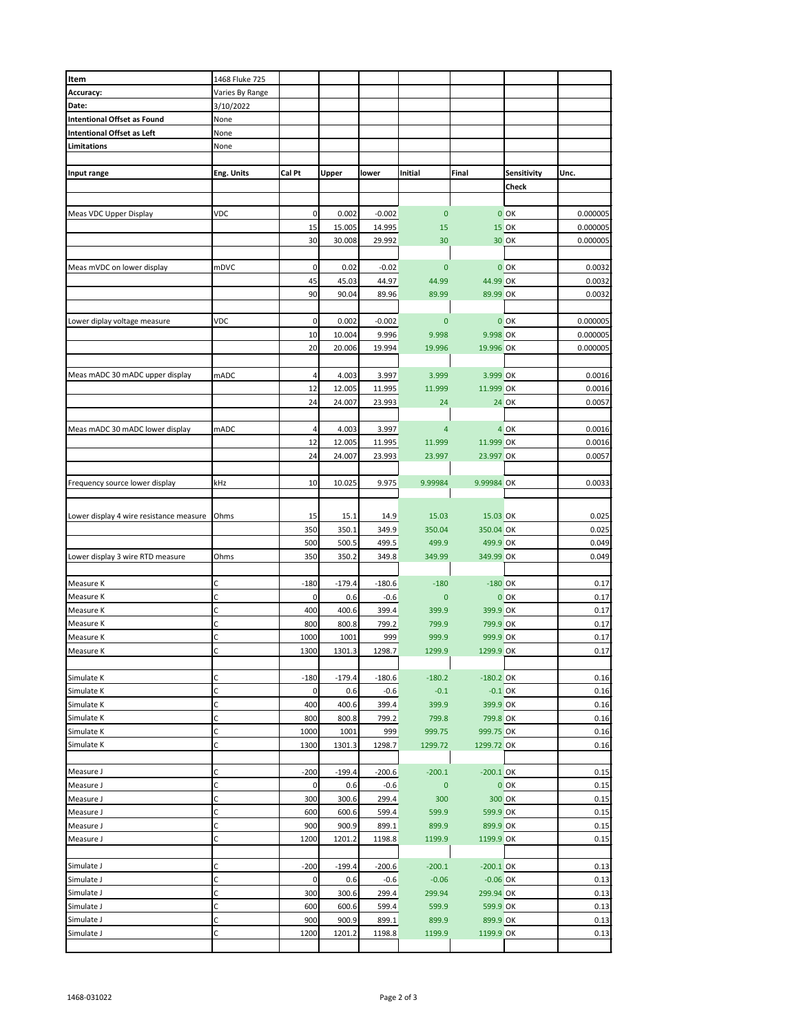| Item                                    | 1468 Fluke 725  |        |          |          |                |             |              |          |
|-----------------------------------------|-----------------|--------|----------|----------|----------------|-------------|--------------|----------|
| Accuracy:                               | Varies By Range |        |          |          |                |             |              |          |
| Date:                                   | 3/10/2022       |        |          |          |                |             |              |          |
| <b>Intentional Offset as Found</b>      | None            |        |          |          |                |             |              |          |
| <b>Intentional Offset as Left</b>       | None            |        |          |          |                |             |              |          |
| <b>Limitations</b>                      | None            |        |          |          |                |             |              |          |
|                                         |                 |        |          |          |                |             |              |          |
|                                         |                 |        |          |          |                |             |              |          |
| Input range                             | Eng. Units      | Cal Pt | Upper    | lower    | Initial        | Final       | Sensitivity  | Unc.     |
|                                         |                 |        |          |          |                |             | Check        |          |
|                                         |                 |        |          |          |                |             |              |          |
| Meas VDC Upper Display                  | VDC             | 0      | 0.002    | $-0.002$ | $\bf{0}$       |             | $0$ OK       | 0.000005 |
|                                         |                 |        |          |          |                |             |              |          |
|                                         |                 | 15     | 15.005   | 14.995   | 15             |             | <b>15 OK</b> | 0.000005 |
|                                         |                 | 30     | 30.008   | 29.992   | 30             |             | 30 OK        | 0.000005 |
|                                         |                 |        |          |          |                |             |              |          |
| Meas mVDC on lower display              | mDVC            | 0      | 0.02     | $-0.02$  | $\bf{0}$       |             | $0$ OK       | 0.0032   |
|                                         |                 | 45     | 45.03    | 44.97    | 44.99          | 44.99 OK    |              | 0.0032   |
|                                         |                 | 90     | 90.04    | 89.96    | 89.99          | 89.99 OK    |              | 0.0032   |
|                                         |                 |        |          |          |                |             |              |          |
|                                         |                 |        |          |          |                |             |              |          |
| Lower diplay voltage measure            | VDC             | 0      | 0.002    | $-0.002$ | $\mathbf 0$    |             | $0$ OK       | 0.000005 |
|                                         |                 | 10     | 10.004   | 9.996    | 9.998          | 9.998 OK    |              | 0.000005 |
|                                         |                 | 20     | 20.006   | 19.994   | 19.996         | 19.996 OK   |              | 0.000005 |
|                                         |                 |        |          |          |                |             |              |          |
|                                         |                 |        |          |          |                |             |              |          |
| Meas mADC 30 mADC upper display         | mADC            | 4      | 4.003    | 3.997    | 3.999          | 3.999 OK    |              | 0.0016   |
|                                         |                 | 12     | 12.005   | 11.995   | 11.999         | 11.999 OK   |              | 0.0016   |
|                                         |                 | 24     | 24.007   | 23.993   | 24             |             | <b>24 OK</b> | 0.0057   |
|                                         |                 |        |          |          |                |             |              |          |
| Meas mADC 30 mADC lower display         | mADC            | 4      | 4.003    | 3.997    | $\overline{a}$ |             | 4 OK         | 0.0016   |
|                                         |                 |        |          |          |                |             |              |          |
|                                         |                 | 12     | 12.005   | 11.995   | 11.999         | 11.999 OK   |              | 0.0016   |
|                                         |                 | 24     | 24.007   | 23.993   | 23.997         | 23.997 OK   |              | 0.0057   |
|                                         |                 |        |          |          |                |             |              |          |
| Frequency source lower display          | kHz             | 10     | 10.025   | 9.975    | 9.99984        | 9.99984 OK  |              | 0.0033   |
|                                         |                 |        |          |          |                |             |              |          |
|                                         |                 |        |          |          |                |             |              |          |
| Lower display 4 wire resistance measure | Ohms            | 15     | 15.1     | 14.9     | 15.03          | 15.03 OK    |              | 0.025    |
|                                         |                 | 350    | 350.1    | 349.9    | 350.04         | 350.04 OK   |              | 0.025    |
|                                         |                 | 500    | 500.5    | 499.5    | 499.9          |             |              | 0.049    |
|                                         |                 |        |          |          |                | 499.9 OK    |              |          |
| Lower display 3 wire RTD measure        | Ohms            | 350    | 350.2    | 349.8    | 349.99         | 349.99 OK   |              | 0.049    |
|                                         |                 |        |          |          |                |             |              |          |
| Measure K                               | С               | $-180$ | $-179.4$ | $-180.6$ | $-180$         | $-180$ OK   |              | 0.17     |
| Measure K                               | C               | 0      | 0.6      | $-0.6$   | $\mathbf 0$    |             | $0$ OK       | 0.17     |
| Measure K                               | С               | 400    | 400.6    | 399.4    | 399.9          | 399.9 OK    |              | 0.17     |
|                                         |                 |        |          |          |                |             |              |          |
| Measure K                               | C               | 800    | 800.8    | 799.2    | 799.9          | 799.9 OK    |              | 0.17     |
| Measure K                               | C               | 1000   | 1001     | 999      | 999.9          | 999.9 OK    |              | 0.17     |
| Measure K                               | C               | 1300   | 1301.3   | 1298.7   | 1299.9         | 1299.9 OK   |              | 0.17     |
|                                         |                 |        |          |          |                |             |              |          |
| Simulate K                              | с               | $-180$ | $-179.4$ | $-180.6$ | $-180.2$       | $-180.2$ OK |              | 0.16     |
| Simulate K                              | C               | 0      | 0.6      | $-0.6$   | $-0.1$         | $-0.1$ OK   |              | 0.16     |
|                                         |                 |        |          |          |                |             |              |          |
| Simulate K                              | C               | 400    | 400.6    | 399.4    | 399.9          | 399.9 OK    |              | 0.16     |
| Simulate K                              | С               | 800    | 800.8    | 799.2    | 799.8          | 799.8 OK    |              | 0.16     |
| Simulate K                              | C               | 1000   | 1001     | 999      | 999.75         | 999.75 OK   |              | 0.16     |
| Simulate K                              | C               | 1300   | 1301.3   | 1298.7   | 1299.72        | 1299.72 OK  |              | 0.16     |
|                                         |                 |        |          |          |                |             |              |          |
|                                         | С               | $-200$ | $-199.4$ | $-200.6$ | $-200.1$       | $-200.1$ OK |              | 0.15     |
| Measure J                               |                 |        |          |          |                |             |              |          |
| Measure J                               | C               | 0      | 0.6      | $-0.6$   | $\pmb{0}$      |             | $0$ OK       | 0.15     |
| Measure J                               | C               | 300    | 300.6    | 299.4    | 300            |             | 300 OK       | 0.15     |
| Measure J                               | С               | 600    | 600.6    | 599.4    | 599.9          | 599.9 OK    |              | 0.15     |
| Measure J                               | C               | 900    | 900.9    | 899.1    | 899.9          | 899.9 OK    |              | 0.15     |
|                                         |                 |        |          |          |                |             |              |          |
| Measure J                               | С               | 1200   | 1201.2   | 1198.8   | 1199.9         | 1199.9 OK   |              | 0.15     |
|                                         |                 |        |          |          |                |             |              |          |
| Simulate J                              | С               | $-200$ | $-199.4$ | $-200.6$ | $-200.1$       | $-200.1$ OK |              | 0.13     |
| Simulate J                              | C               | 0      | 0.6      | $-0.6$   | $-0.06$        | $-0.06$ OK  |              | 0.13     |
| Simulate J                              | C               | 300    | 300.6    | 299.4    | 299.94         | 299.94 OK   |              | 0.13     |
|                                         | C               |        |          |          |                |             |              |          |
| Simulate J                              |                 | 600    | 600.6    | 599.4    | 599.9          | 599.9 OK    |              | 0.13     |
| Simulate J                              | C               | 900    | 900.9    | 899.1    | 899.9          | 899.9 OK    |              | 0.13     |
| Simulate J                              | С               | 1200   | 1201.2   | 1198.8   | 1199.9         | 1199.9 OK   |              | 0.13     |
|                                         |                 |        |          |          |                |             |              |          |